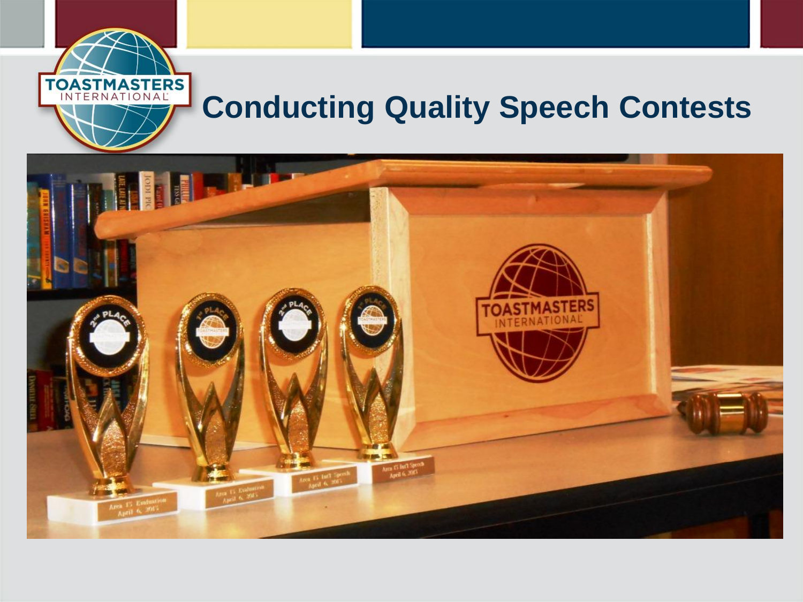

#### **Conducting Quality Speech Contests**

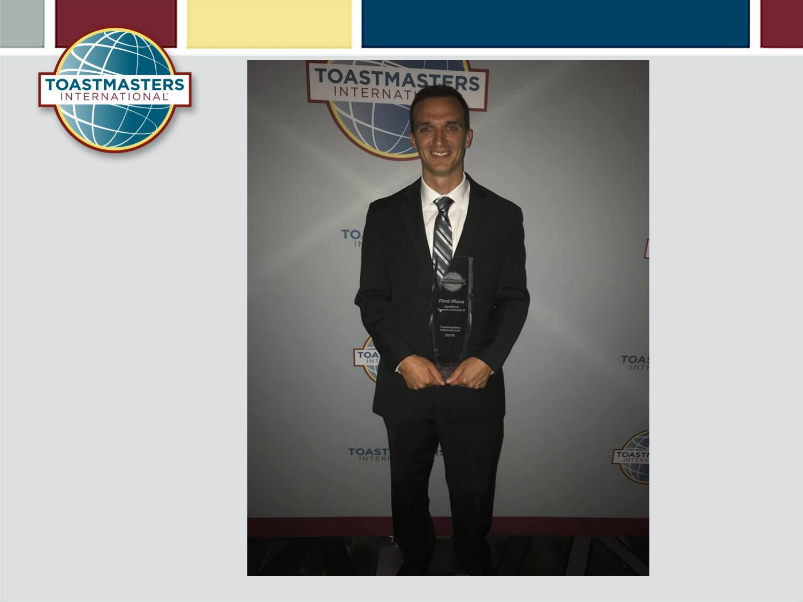

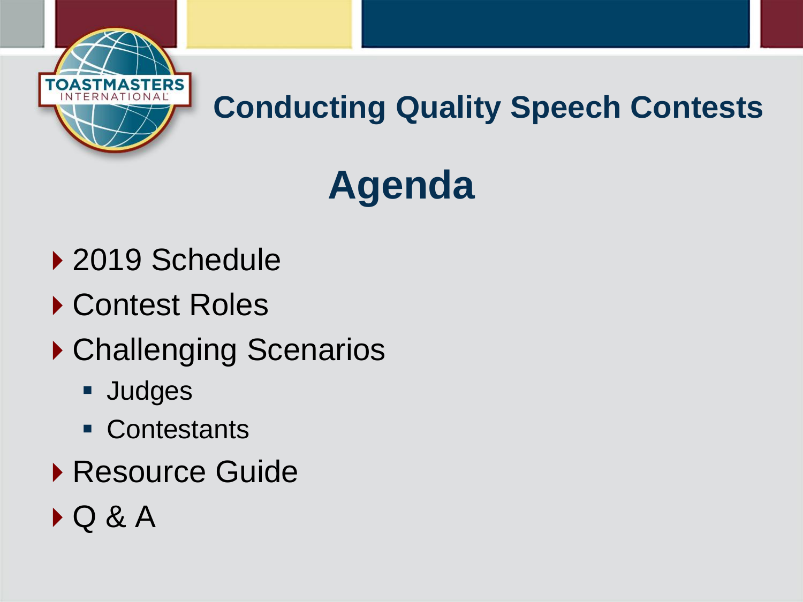

#### **Conducting Quality Speech Contests**

# **Agenda**

- ▶ 2019 Schedule
- ▶ Contest Roles
- Challenging Scenarios
	- Judges
	- Contestants
- Resource Guide
- $\rightarrow Q & A$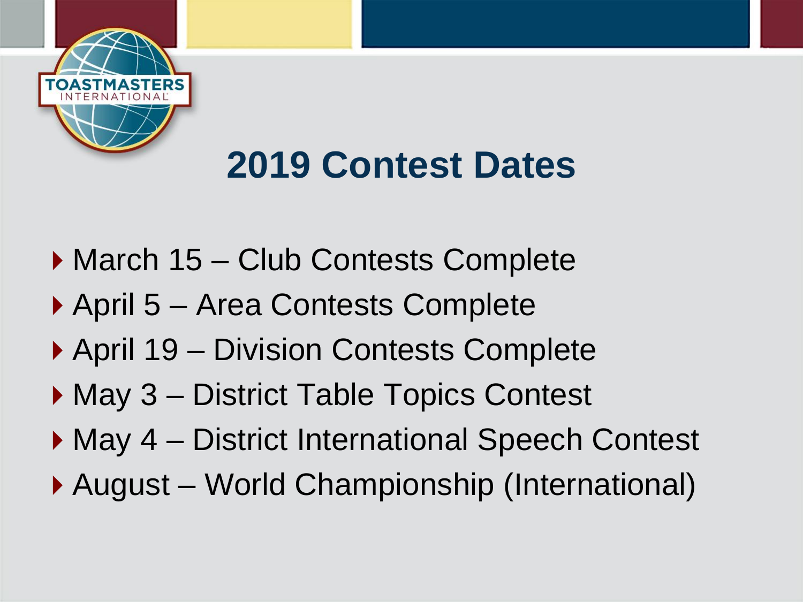

## **2019 Contest Dates**

- ▶ March 15 Club Contests Complete
- ▶ April 5 Area Contests Complete
- ▶ April 19 Division Contests Complete
- ▶ May 3 District Table Topics Contest
- ▶ May 4 District International Speech Contest
- ▶ August World Championship (International)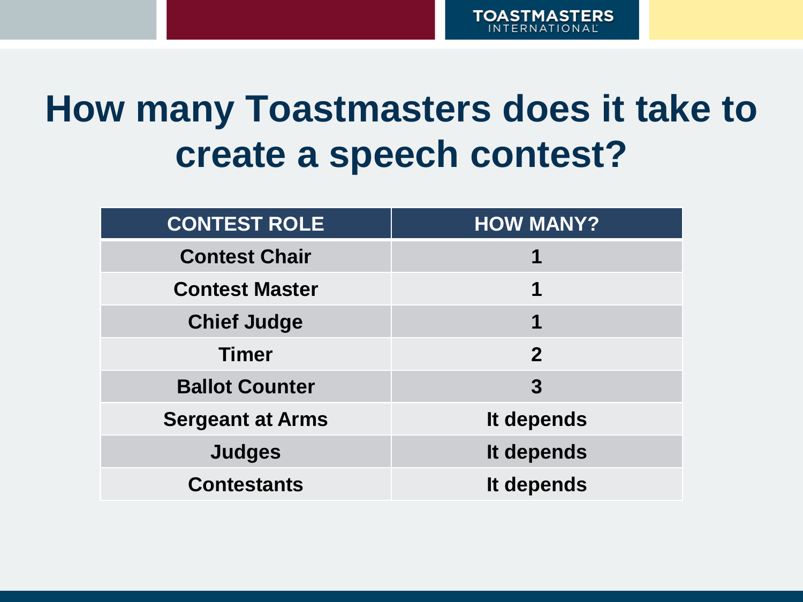#### **How many Toastmasters does it take to create a speech contest?**

| <b>CONTEST ROLE</b>     | <b>HOW MANY?</b> |
|-------------------------|------------------|
| <b>Contest Chair</b>    | 1                |
| <b>Contest Master</b>   | 1                |
| <b>Chief Judge</b>      | 1                |
| <b>Timer</b>            | $\mathbf{2}$     |
| <b>Ballot Counter</b>   | $\mathbf{3}$     |
| <b>Sergeant at Arms</b> | It depends       |
| <b>Judges</b>           | It depends       |
| <b>Contestants</b>      | It depends       |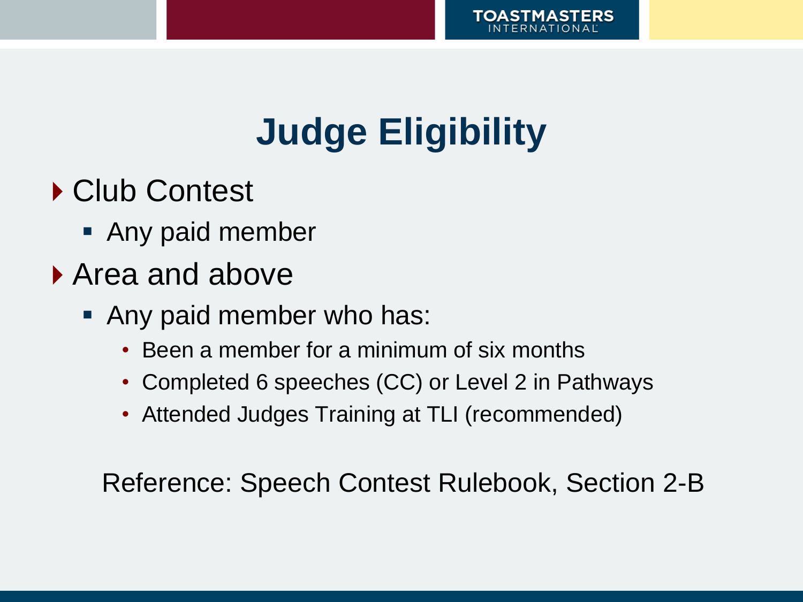## **Judge Eligibility**

- ▶ Club Contest
	- Any paid member
- ▶ Area and above
	- Any paid member who has:
		- Been a member for a minimum of six months
		- Completed 6 speeches (CC) or Level 2 in Pathways
		- Attended Judges Training at TLI (recommended)

Reference: Speech Contest Rulebook, Section 2-B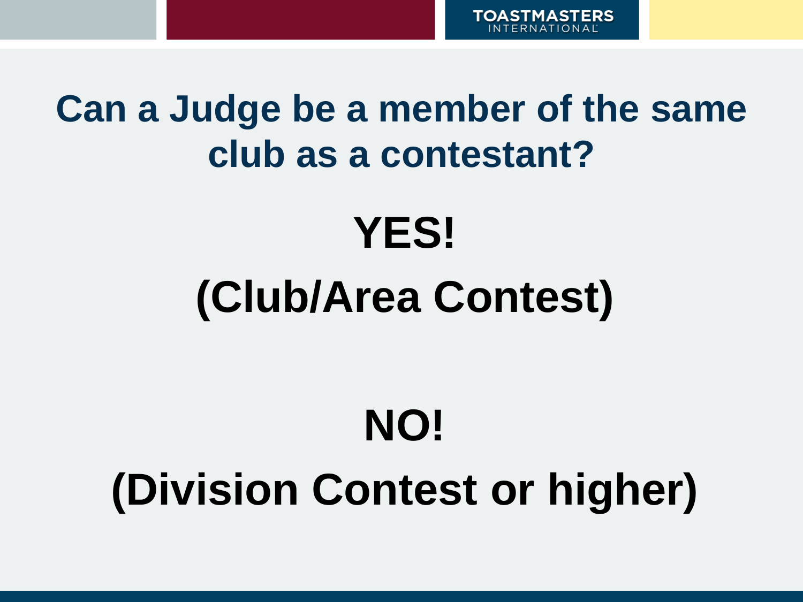#### **Can a Judge be a member of the same club as a contestant?**

# **YES!**

# **(Club/Area Contest)**

# **NO! (Division Contest or higher)**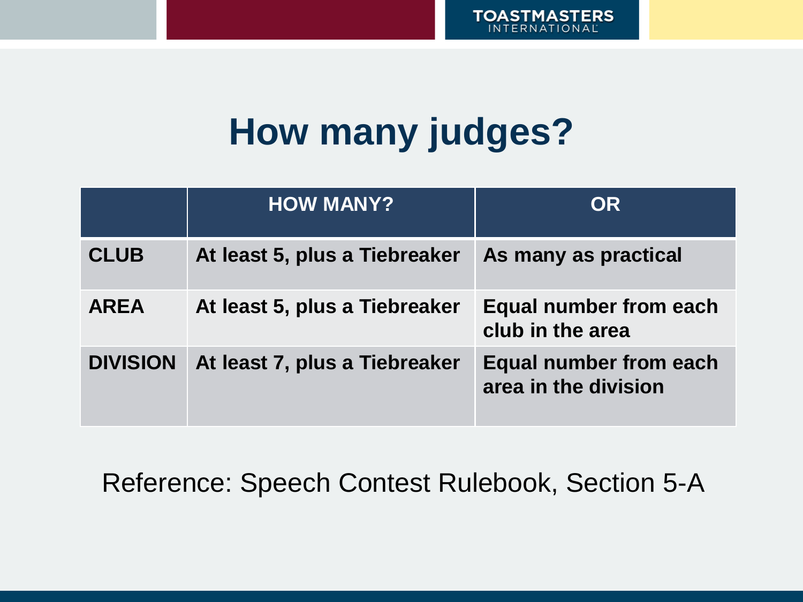### **How many judges?**

|                 | <b>HOW MANY?</b>              | <b>OR</b>                                      |
|-----------------|-------------------------------|------------------------------------------------|
| <b>CLUB</b>     | At least 5, plus a Tiebreaker | As many as practical                           |
| <b>AREA</b>     | At least 5, plus a Tiebreaker | Equal number from each<br>club in the area     |
| <b>DIVISION</b> | At least 7, plus a Tiebreaker | Equal number from each<br>area in the division |

Reference: Speech Contest Rulebook, Section 5-A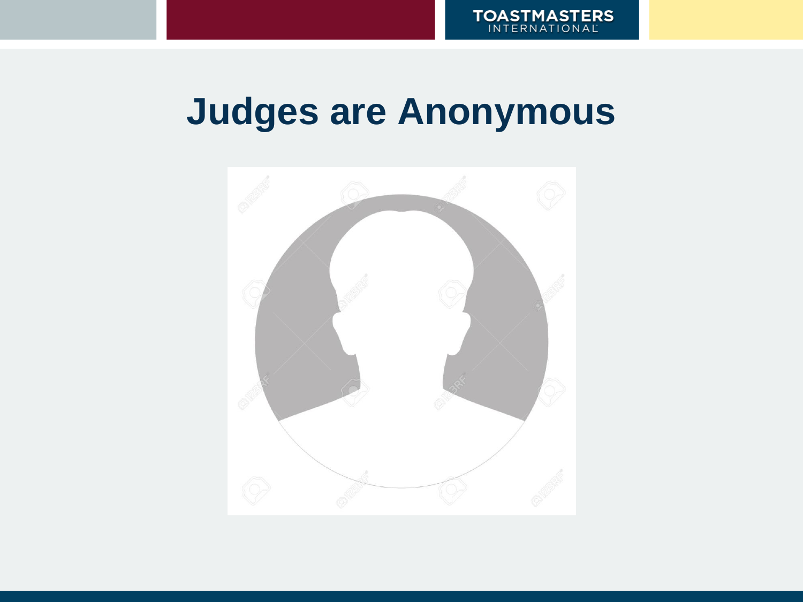#### **Judges are Anonymous**

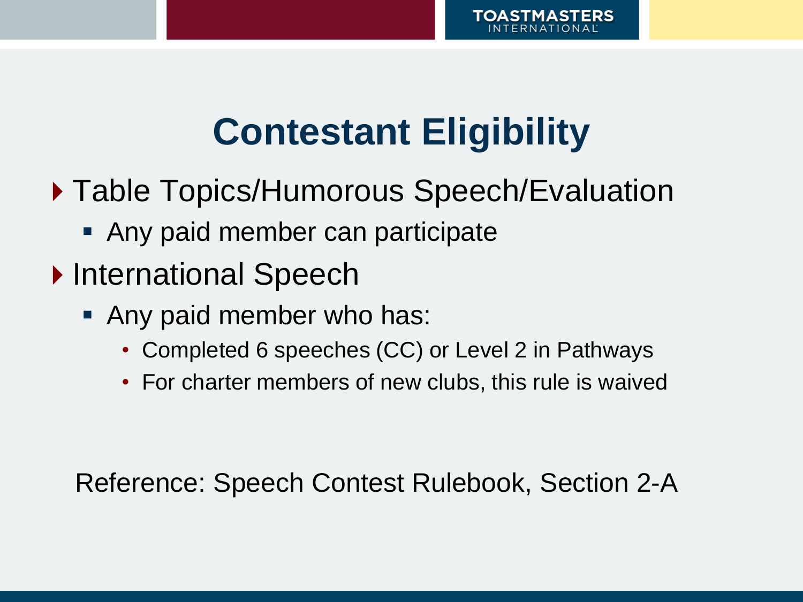### **Contestant Eligibility**

- ▶ Table Topics/Humorous Speech/Evaluation
	- Any paid member can participate
- ▶ International Speech
	- Any paid member who has:
		- Completed 6 speeches (CC) or Level 2 in Pathways
		- For charter members of new clubs, this rule is waived

Reference: Speech Contest Rulebook, Section 2-A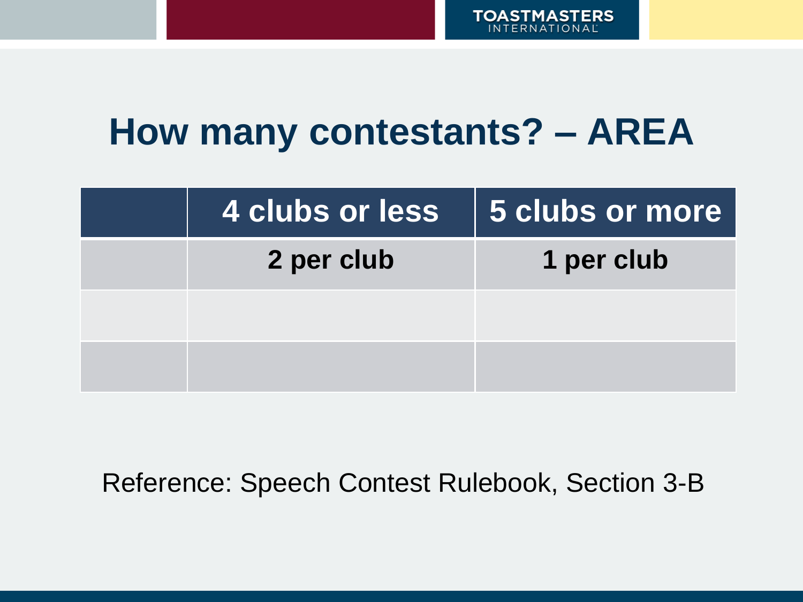#### **How many contestants? – AREA**

| 4 clubs or less | 5 clubs or more |
|-----------------|-----------------|
| 2 per club      | 1 per club      |
|                 |                 |
|                 |                 |

Reference: Speech Contest Rulebook, Section 3-B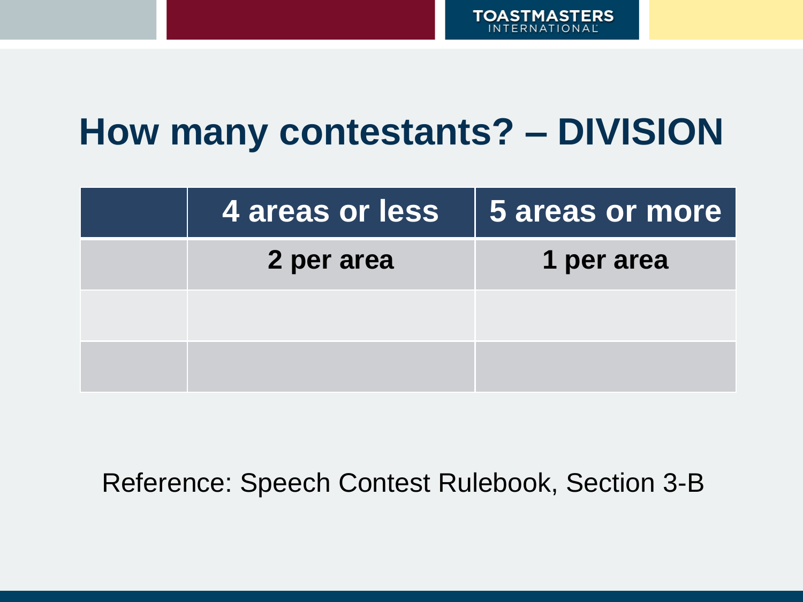#### **How many contestants? – DIVISION**

| 4 areas or less | 5 areas or more |
|-----------------|-----------------|
| 2 per area      | 1 per area      |
|                 |                 |
|                 |                 |

Reference: Speech Contest Rulebook, Section 3-B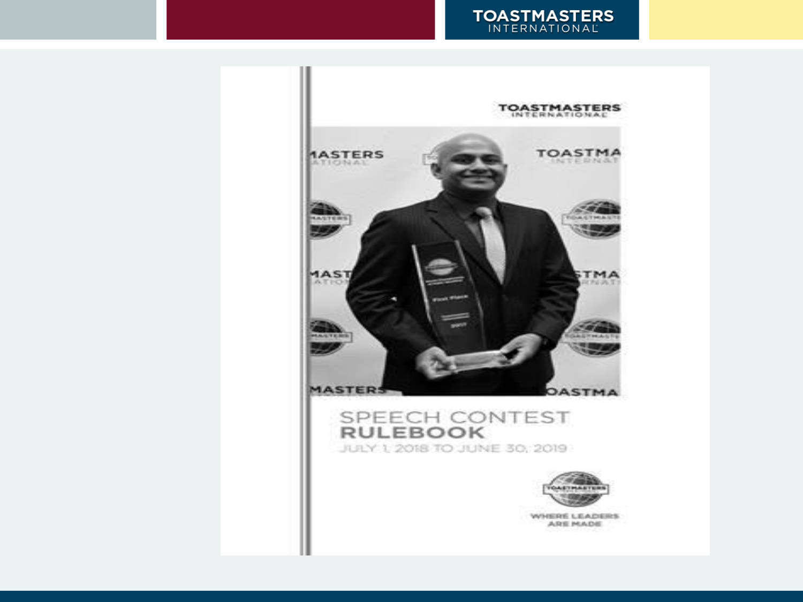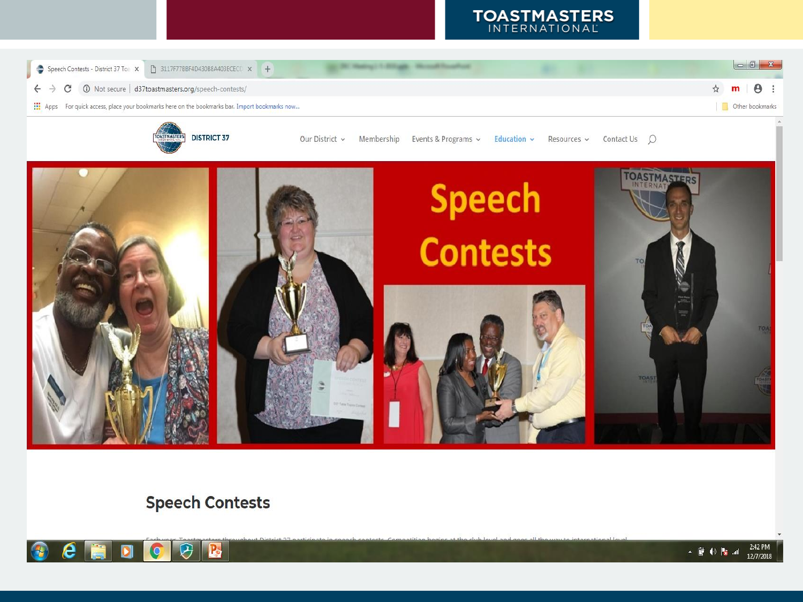#### **TOASTMASTERS**



#### **Speech Contests**



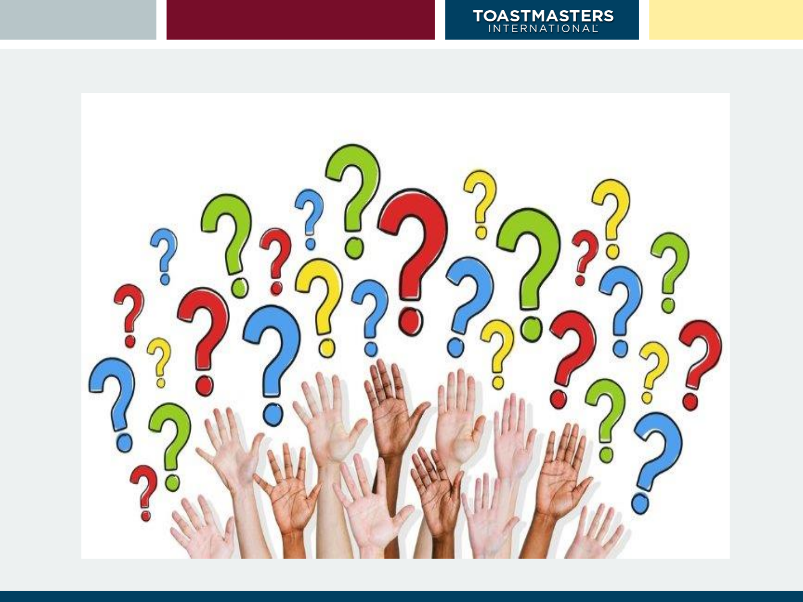